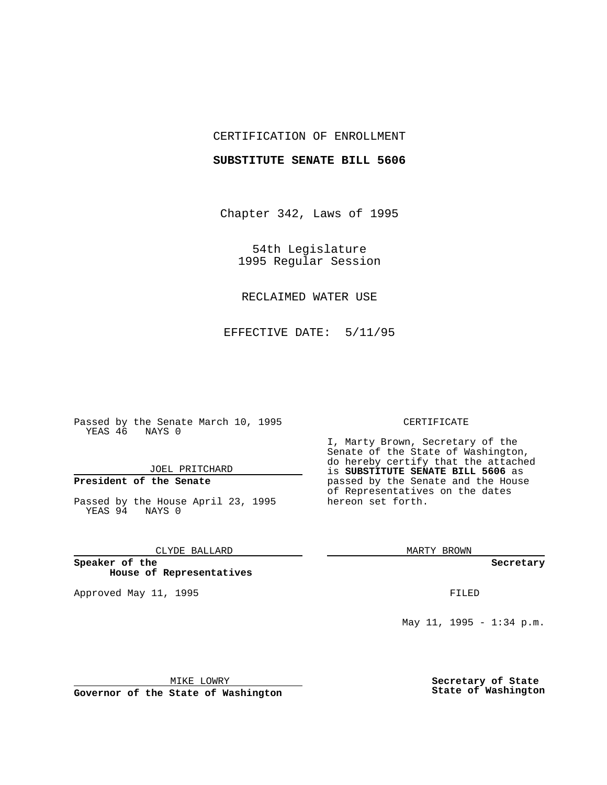## CERTIFICATION OF ENROLLMENT

### **SUBSTITUTE SENATE BILL 5606**

Chapter 342, Laws of 1995

54th Legislature 1995 Regular Session

## RECLAIMED WATER USE

EFFECTIVE DATE: 5/11/95

Passed by the Senate March 10, 1995 YEAS 46 NAYS 0

## JOEL PRITCHARD

# **President of the Senate**

Passed by the House April 23, 1995 YEAS 94 NAYS 0

## CLYDE BALLARD

**Speaker of the House of Representatives**

Approved May 11, 1995 **FILED** 

#### CERTIFICATE

I, Marty Brown, Secretary of the Senate of the State of Washington, do hereby certify that the attached is **SUBSTITUTE SENATE BILL 5606** as passed by the Senate and the House of Representatives on the dates hereon set forth.

MARTY BROWN

**Secretary**

May 11, 1995 - 1:34 p.m.

MIKE LOWRY

**Governor of the State of Washington**

**Secretary of State State of Washington**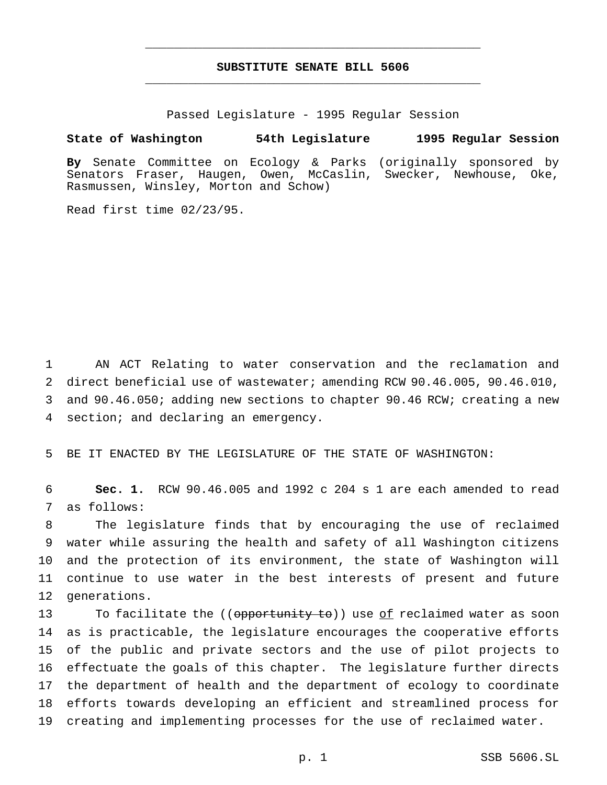# **SUBSTITUTE SENATE BILL 5606** \_\_\_\_\_\_\_\_\_\_\_\_\_\_\_\_\_\_\_\_\_\_\_\_\_\_\_\_\_\_\_\_\_\_\_\_\_\_\_\_\_\_\_\_\_\_\_

\_\_\_\_\_\_\_\_\_\_\_\_\_\_\_\_\_\_\_\_\_\_\_\_\_\_\_\_\_\_\_\_\_\_\_\_\_\_\_\_\_\_\_\_\_\_\_

Passed Legislature - 1995 Regular Session

### **State of Washington 54th Legislature 1995 Regular Session**

**By** Senate Committee on Ecology & Parks (originally sponsored by Senators Fraser, Haugen, Owen, McCaslin, Swecker, Newhouse, Oke, Rasmussen, Winsley, Morton and Schow)

Read first time 02/23/95.

 AN ACT Relating to water conservation and the reclamation and direct beneficial use of wastewater; amending RCW 90.46.005, 90.46.010, and 90.46.050; adding new sections to chapter 90.46 RCW; creating a new section; and declaring an emergency.

BE IT ENACTED BY THE LEGISLATURE OF THE STATE OF WASHINGTON:

 **Sec. 1.** RCW 90.46.005 and 1992 c 204 s 1 are each amended to read as follows:

 The legislature finds that by encouraging the use of reclaimed water while assuring the health and safety of all Washington citizens and the protection of its environment, the state of Washington will continue to use water in the best interests of present and future generations.

13 To facilitate the ((opportunity to)) use <u>of</u> reclaimed water as soon as is practicable, the legislature encourages the cooperative efforts of the public and private sectors and the use of pilot projects to effectuate the goals of this chapter. The legislature further directs the department of health and the department of ecology to coordinate efforts towards developing an efficient and streamlined process for creating and implementing processes for the use of reclaimed water.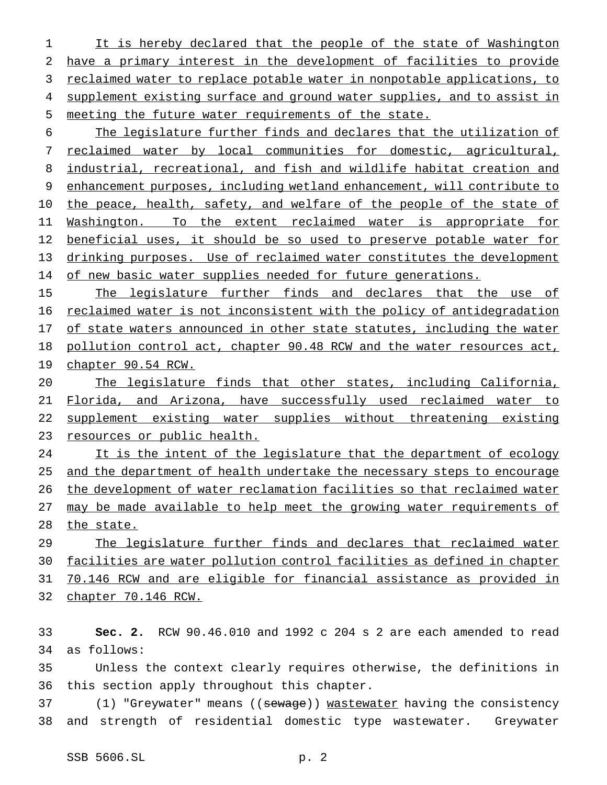It is hereby declared that the people of the state of Washington have a primary interest in the development of facilities to provide 3 reclaimed water to replace potable water in nonpotable applications, to 4 supplement existing surface and ground water supplies, and to assist in meeting the future water requirements of the state.

 The legislature further finds and declares that the utilization of reclaimed water by local communities for domestic, agricultural, industrial, recreational, and fish and wildlife habitat creation and enhancement purposes, including wetland enhancement, will contribute to 10 the peace, health, safety, and welfare of the people of the state of 11 Washington. To the extent reclaimed water is appropriate for 12 beneficial uses, it should be so used to preserve potable water for drinking purposes. Use of reclaimed water constitutes the development 14 of new basic water supplies needed for future generations.

15 The legislature further finds and declares that the use of reclaimed water is not inconsistent with the policy of antidegradation 17 of state waters announced in other state statutes, including the water pollution control act, chapter 90.48 RCW and the water resources act, chapter 90.54 RCW.

 The legislature finds that other states, including California, Florida, and Arizona, have successfully used reclaimed water to supplement existing water supplies without threatening existing resources or public health.

24 It is the intent of the legislature that the department of ecology 25 and the department of health undertake the necessary steps to encourage the development of water reclamation facilities so that reclaimed water may be made available to help meet the growing water requirements of 28 the state.

 The legislature further finds and declares that reclaimed water facilities are water pollution control facilities as defined in chapter 70.146 RCW and are eligible for financial assistance as provided in chapter 70.146 RCW.

 **Sec. 2.** RCW 90.46.010 and 1992 c 204 s 2 are each amended to read as follows:

 Unless the context clearly requires otherwise, the definitions in this section apply throughout this chapter.

37 (1) "Greywater" means ((sewage)) wastewater having the consistency and strength of residential domestic type wastewater. Greywater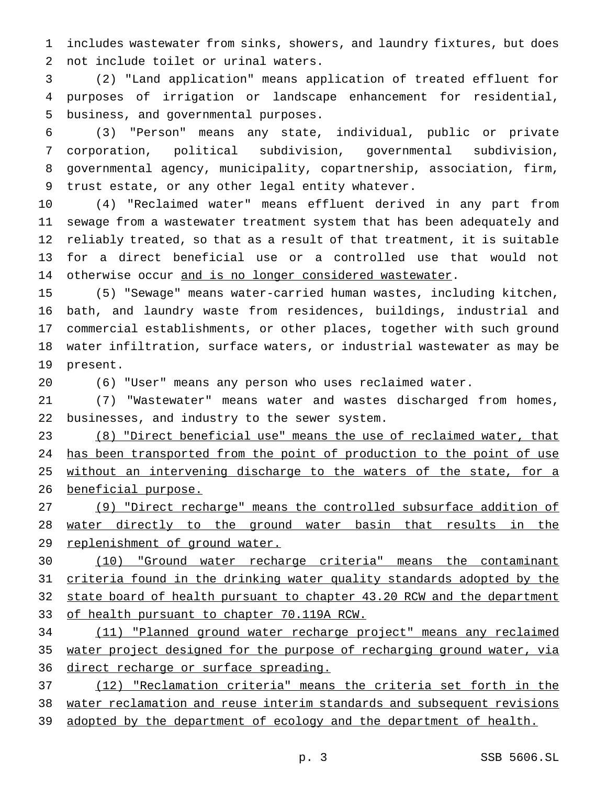includes wastewater from sinks, showers, and laundry fixtures, but does not include toilet or urinal waters.

 (2) "Land application" means application of treated effluent for purposes of irrigation or landscape enhancement for residential, business, and governmental purposes.

 (3) "Person" means any state, individual, public or private corporation, political subdivision, governmental subdivision, governmental agency, municipality, copartnership, association, firm, trust estate, or any other legal entity whatever.

 (4) "Reclaimed water" means effluent derived in any part from sewage from a wastewater treatment system that has been adequately and reliably treated, so that as a result of that treatment, it is suitable for a direct beneficial use or a controlled use that would not 14 otherwise occur and is no longer considered wastewater.

 (5) "Sewage" means water-carried human wastes, including kitchen, bath, and laundry waste from residences, buildings, industrial and commercial establishments, or other places, together with such ground water infiltration, surface waters, or industrial wastewater as may be present.

(6) "User" means any person who uses reclaimed water.

 (7) "Wastewater" means water and wastes discharged from homes, businesses, and industry to the sewer system.

 (8) "Direct beneficial use" means the use of reclaimed water, that 24 has been transported from the point of production to the point of use 25 without an intervening discharge to the waters of the state, for a beneficial purpose.

 (9) "Direct recharge" means the controlled subsurface addition of water directly to the ground water basin that results in the 29 replenishment of ground water.

 (10) "Ground water recharge criteria" means the contaminant criteria found in the drinking water quality standards adopted by the 32 state board of health pursuant to chapter 43.20 RCW and the department 33 of health pursuant to chapter 70.119A RCW.

 (11) "Planned ground water recharge project" means any reclaimed water project designed for the purpose of recharging ground water, via 36 direct recharge or surface spreading.

 (12) "Reclamation criteria" means the criteria set forth in the water reclamation and reuse interim standards and subsequent revisions adopted by the department of ecology and the department of health.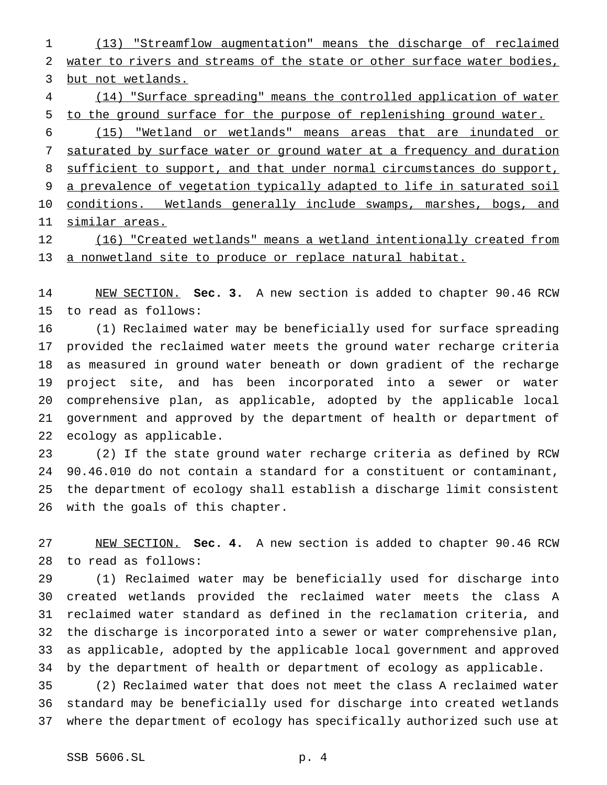(13) "Streamflow augmentation" means the discharge of reclaimed water to rivers and streams of the state or other surface water bodies, but not wetlands.

 (14) "Surface spreading" means the controlled application of water to the ground surface for the purpose of replenishing ground water.

 (15) "Wetland or wetlands" means areas that are inundated or saturated by surface water or ground water at a frequency and duration 8 sufficient to support, and that under normal circumstances do support, a prevalence of vegetation typically adapted to life in saturated soil 10 conditions. Wetlands generally include swamps, marshes, bogs, and similar areas.

 (16) "Created wetlands" means a wetland intentionally created from 13 a nonwetland site to produce or replace natural habitat.

 NEW SECTION. **Sec. 3.** A new section is added to chapter 90.46 RCW to read as follows:

 (1) Reclaimed water may be beneficially used for surface spreading provided the reclaimed water meets the ground water recharge criteria as measured in ground water beneath or down gradient of the recharge project site, and has been incorporated into a sewer or water comprehensive plan, as applicable, adopted by the applicable local government and approved by the department of health or department of ecology as applicable.

 (2) If the state ground water recharge criteria as defined by RCW 90.46.010 do not contain a standard for a constituent or contaminant, the department of ecology shall establish a discharge limit consistent with the goals of this chapter.

 NEW SECTION. **Sec. 4.** A new section is added to chapter 90.46 RCW to read as follows:

 (1) Reclaimed water may be beneficially used for discharge into created wetlands provided the reclaimed water meets the class A reclaimed water standard as defined in the reclamation criteria, and the discharge is incorporated into a sewer or water comprehensive plan, as applicable, adopted by the applicable local government and approved by the department of health or department of ecology as applicable.

 (2) Reclaimed water that does not meet the class A reclaimed water standard may be beneficially used for discharge into created wetlands where the department of ecology has specifically authorized such use at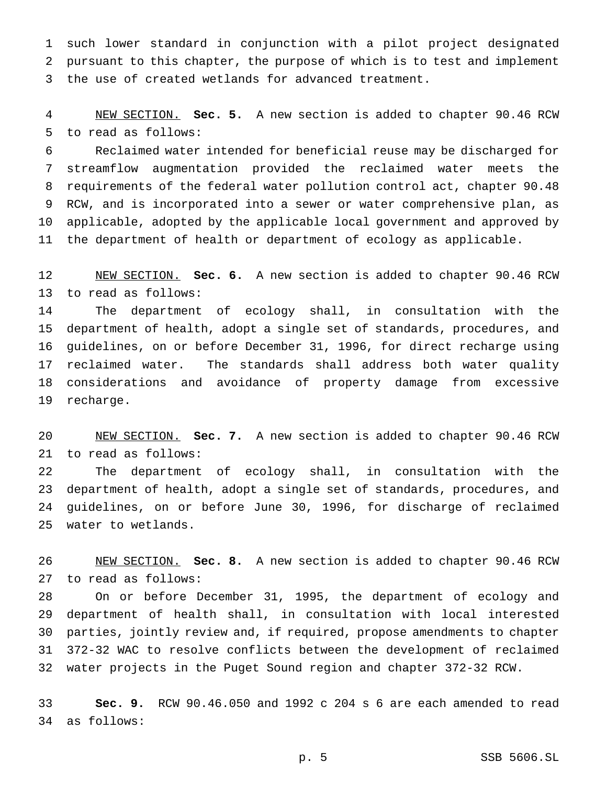such lower standard in conjunction with a pilot project designated pursuant to this chapter, the purpose of which is to test and implement the use of created wetlands for advanced treatment.

 NEW SECTION. **Sec. 5.** A new section is added to chapter 90.46 RCW to read as follows:

 Reclaimed water intended for beneficial reuse may be discharged for streamflow augmentation provided the reclaimed water meets the requirements of the federal water pollution control act, chapter 90.48 RCW, and is incorporated into a sewer or water comprehensive plan, as applicable, adopted by the applicable local government and approved by the department of health or department of ecology as applicable.

 NEW SECTION. **Sec. 6.** A new section is added to chapter 90.46 RCW to read as follows:

 The department of ecology shall, in consultation with the department of health, adopt a single set of standards, procedures, and guidelines, on or before December 31, 1996, for direct recharge using reclaimed water. The standards shall address both water quality considerations and avoidance of property damage from excessive recharge.

 NEW SECTION. **Sec. 7.** A new section is added to chapter 90.46 RCW to read as follows:

 The department of ecology shall, in consultation with the department of health, adopt a single set of standards, procedures, and guidelines, on or before June 30, 1996, for discharge of reclaimed water to wetlands.

 NEW SECTION. **Sec. 8.** A new section is added to chapter 90.46 RCW to read as follows:

 On or before December 31, 1995, the department of ecology and department of health shall, in consultation with local interested parties, jointly review and, if required, propose amendments to chapter 372-32 WAC to resolve conflicts between the development of reclaimed water projects in the Puget Sound region and chapter 372-32 RCW.

 **Sec. 9.** RCW 90.46.050 and 1992 c 204 s 6 are each amended to read as follows: